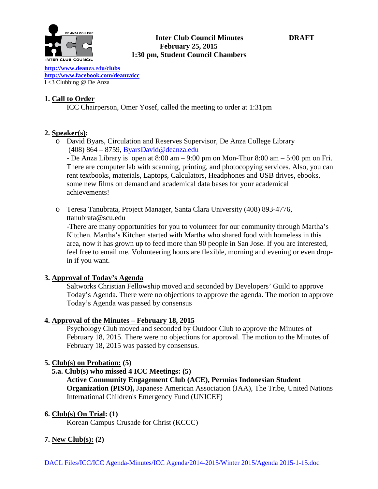

### **Inter Club Council Minutes DRAFT February 25, 2015 1:30 pm, Student Council Chambers**

**[http://www.deanz](http://www.deanza.edu/clubs)**a.ed**u/clubs [http://www.facebook.com/deanzaicc](http://www.facebook.com/home.php%23!/group.php?gid=59034552686)** I <3 Clubbing @ De Anza

## **1. Call to Order**

ICC Chairperson, Omer Yosef, called the meeting to order at 1:31pm

# **2. Speaker(s):**

o David Byars, Circulation and Reserves Supervisor, De Anza College Library (408) 864 – 8759, [ByarsDavid@deanza.edu](mailto:ByarsDavid@deanza.edu)

**-** De Anza Library is open at 8:00 am – 9:00 pm on Mon-Thur 8:00 am – 5:00 pm on Fri. There are computer lab with scanning, printing, and photocopying services. Also, you can rent textbooks, materials, Laptops, Calculators, Headphones and USB drives, ebooks, some new films on demand and academical data bases for your academical achievements!

o Teresa Tanubrata, Project Manager, Santa Clara University (408) 893-4776, ttanubrata@scu.edu

-There are many opportunities for you to volunteer for our community through Martha's Kitchen. Martha's Kitchen started with Martha who shared food with homeless in this area, now it has grown up to feed more than 90 people in San Jose. If you are interested, feel free to email me. Volunteering hours are flexible, morning and evening or even dropin if you want.

## **3. Approval of Today's Agenda**

Saltworks Christian Fellowship moved and seconded by Developers' Guild to approve Today's Agenda. There were no objections to approve the agenda. The motion to approve Today's Agenda was passed by consensus

## **4. Approval of the Minutes – February 18, 2015**

Psychology Club moved and seconded by Outdoor Club to approve the Minutes of February 18, 2015. There were no objections for approval. The motion to the Minutes of February 18, 2015 was passed by consensus.

## **5. Club(s) on Probation: (5)**

- **5.a. Club(s) who missed 4 ICC Meetings: (5)**
	- **Active Community Engagement Club (ACE), Permias Indonesian Student Organization (PISO),** Japanese American Association (JAA), The Tribe, United Nations International Children's Emergency Fund (UNICEF)

## **6. Club(s) On Trial: (1)**

Korean Campus Crusade for Christ (KCCC)

## **7. New Club(s): (2)**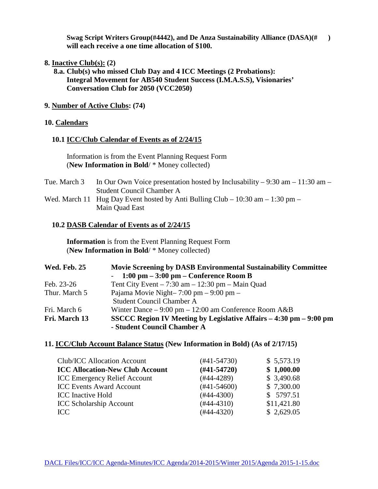**Swag Script Writers Group(#4442), and De Anza Sustainability Alliance (DASA)(# ) will each receive a one time allocation of \$100.**

- **8. Inactive Club(s): (2)**
	- **8.a. Club(s) who missed Club Day and 4 ICC Meetings (2 Probations): Integral Movement for AB540 Student Success (I.M.A.S.S), Visionaries' Conversation Club for 2050 (VCC2050)**
- **9. Number of Active Clubs: (74)**

#### **10. Calendars**

#### **10.1 ICC/Club Calendar of Events as of 2/24/15**

 Information is from the Event Planning Request Form (**New Information in Bold**/ \* Money collected)

| Tue. March 3 | In Our Own Voice presentation hosted by Inclusability – 9:30 am – 11:30 am –   |
|--------------|--------------------------------------------------------------------------------|
|              | Student Council Chamber A                                                      |
|              | Wed. March 11 Hug Day Event hosted by Anti Bulling Club – 10:30 am – 1:30 pm – |
|              | Main Ouad East                                                                 |

#### **10.2 DASB Calendar of Events as of 2/24/15**

 **Information** is from the Event Planning Request Form (**New Information in Bold**/ \* Money collected)

| <b>Wed. Feb. 25</b> | <b>Movie Screening by DASB Environmental Sustainability Committee</b>  |
|---------------------|------------------------------------------------------------------------|
|                     | $-1:00 \text{ pm} - 3:00 \text{ pm} - \text{Conference Room B}$        |
| Feb. 23-26          | Tent City Event $-7:30$ am $-12:30$ pm $-$ Main Quad                   |
| Thur. March 5       | Pajama Movie Night-7:00 pm - 9:00 pm -                                 |
|                     | <b>Student Council Chamber A</b>                                       |
| Fri. March 6        | Winter Dance $-9:00 \text{ pm} - 12:00 \text{ am Conference Room A&B}$ |
| Fri. March 13       | SSCCC Region IV Meeting by Legislative Affairs – 4:30 pm – 9:00 pm     |
|                     | - Student Council Chamber A                                            |

### **11. ICC/Club Account Balance Status (New Information in Bold) (As of 2/17/15)**

| Club/ICC Allocation Account            | $(\#41 - 54730)$ | \$5,573.19  |
|----------------------------------------|------------------|-------------|
| <b>ICC Allocation-New Club Account</b> | $(#41-54720)$    | \$1,000.00  |
| <b>ICC Emergency Relief Account</b>    | $(#44-4289)$     | \$3,490.68  |
| <b>ICC Events Award Account</b>        | $(#41-54600)$    | \$7,300.00  |
| <b>ICC</b> Inactive Hold               | $(\#44 - 4300)$  | \$ 5797.51  |
| <b>ICC Scholarship Account</b>         | $(\#44 - 4310)$  | \$11,421.80 |
| TCC                                    | $(\#44 - 4320)$  | \$2,629.05  |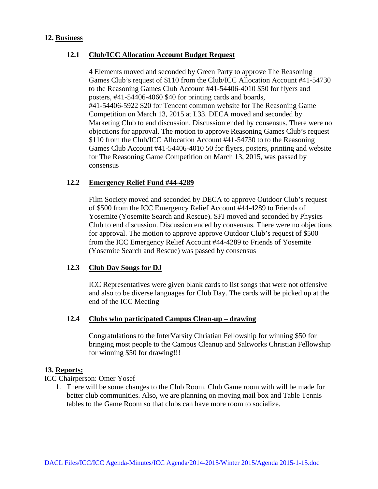#### **12. Business**

### **12.1 Club/ICC Allocation Account Budget Request**

4 Elements moved and seconded by Green Party to approve The Reasoning Games Club's request of \$110 from the Club/ICC Allocation Account #41-54730 to the Reasoning Games Club Account #41-54406-4010 \$50 for flyers and posters, #41-54406-4060 \$40 for printing cards and boards, #41-54406-5922 \$20 for Tencent common website for The Reasoning Game Competition on March 13, 2015 at L33. DECA moved and seconded by Marketing Club to end discussion. Discussion ended by consensus. There were no objections for approval. The motion to approve Reasoning Games Club's request \$110 from the Club/ICC Allocation Account #41-54730 to to the Reasoning Games Club Account #41-54406-4010 50 for flyers, posters, printing and website for The Reasoning Game Competition on March 13, 2015, was passed by consensus

### **12.2 Emergency Relief Fund #44-4289**

Film Society moved and seconded by DECA to approve Outdoor Club's request of \$500 from the ICC Emergency Relief Account #44-4289 to Friends of Yosemite (Yosemite Search and Rescue). SFJ moved and seconded by Physics Club to end discussion. Discussion ended by consensus. There were no objections for approval. The motion to approve approve Outdoor Club's request of \$500 from the ICC Emergency Relief Account #44-4289 to Friends of Yosemite (Yosemite Search and Rescue) was passed by consensus

### **12.3 Club Day Songs for DJ**

ICC Representatives were given blank cards to list songs that were not offensive and also to be diverse languages for Club Day. The cards will be picked up at the end of the ICC Meeting

### **12.4 Clubs who participated Campus Clean-up – drawing**

Congratulations to the InterVarsity Chriatian Fellowship for winning \$50 for bringing most people to the Campus Cleanup and Saltworks Christian Fellowship for winning \$50 for drawing!!!

### **13. Reports:**

ICC Chairperson: Omer Yosef

1. There will be some changes to the Club Room. Club Game room with will be made for better club communities. Also, we are planning on moving mail box and Table Tennis tables to the Game Room so that clubs can have more room to socialize.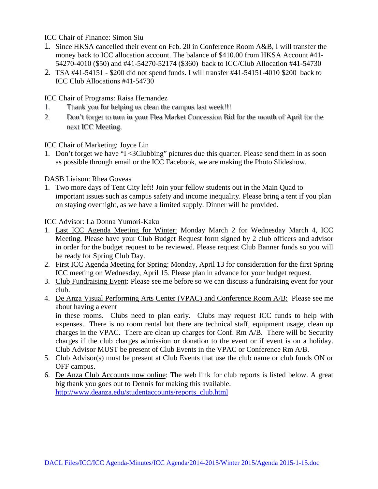ICC Chair of Finance: Simon Siu

- 1. Since HKSA cancelled their event on Feb. 20 in Conference Room A&B, I will transfer the money back to ICC allocation account. The balance of \$410.00 from HKSA Account #41- 54270-4010 (\$50) and #41-54270-52174 (\$360) back to ICC/Club Allocation #41-54730
- 2. TSA #41-54151 \$200 did not spend funds. I will transfer #41-54151-4010 \$200 back to ICC Club Allocations #41-54730

ICC Chair of Programs: Raisa Hernandez

- 1. Thank you for helping us clean the campus last week!!!
- 2. Don't forget to turn in your Flea Market Concession Bid for the month of April for the next ICC Meeting.

ICC Chair of Marketing: Joyce Lin

1. Don't forget we have "I <3Clubbing" pictures due this quarter. Please send them in as soon as possible through email or the ICC Facebook, we are making the Photo Slideshow.

DASB Liaison: Rhea Goveas

1. Two more days of Tent City left! Join your fellow students out in the Main Quad to important issues such as campus safety and income inequality. Please bring a tent if you plan on staying overnight, as we have a limited supply. Dinner will be provided.

ICC Advisor: La Donna Yumori-Kaku

- 1. Last ICC Agenda Meeting for Winter: Monday March 2 for Wednesday March 4, ICC Meeting. Please have your Club Budget Request form signed by 2 club officers and advisor in order for the budget request to be reviewed. Please request Club Banner funds so you will be ready for Spring Club Day.
- 2. First ICC Agenda Meeting for Spring: Monday, April 13 for consideration for the first Spring ICC meeting on Wednesday, April 15. Please plan in advance for your budget request.
- 3. Club Fundraising Event: Please see me before so we can discuss a fundraising event for your club.
- 4. De Anza Visual Performing Arts Center (VPAC) and Conference Room A/B: Please see me about having a event

in these rooms. Clubs need to plan early. Clubs may request ICC funds to help with expenses. There is no room rental but there are technical staff, equipment usage, clean up charges in the VPAC. There are clean up charges for Conf. Rm A/B. There will be Security charges if the club charges admission or donation to the event or if event is on a holiday. Club Advisor MUST be present of Club Events in the VPAC or Conference Rm A/B.

- 5. Club Advisor(s) must be present at Club Events that use the club name or club funds ON or OFF campus.
- 6. De Anza Club Accounts now online: The web link for club reports is listed below. A great big thank you goes out to Dennis for making this available. [http://www.deanza.edu/studentaccounts/reports\\_club.html](http://www.deanza.edu/studentaccounts/reports_club.html)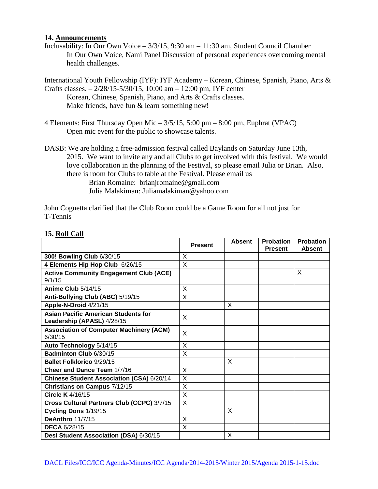#### **14. Announcements**

Inclusability: In Our Own Voice – 3/3/15, 9:30 am – 11:30 am, Student Council Chamber In Our Own Voice, Nami Panel Discussion of personal experiences overcoming mental health challenges.

International Youth Fellowship (IYF): IYF Academy – Korean, Chinese, Spanish, Piano, Arts & Crafts classes. – 2/28/15-5/30/15, 10:00 am – 12:00 pm, IYF center

Korean, Chinese, Spanish, Piano, and Arts & Crafts classes. Make friends, have fun & learn something new!

- 4 Elements: First Thursday Open Mic 3/5/15, 5:00 pm 8:00 pm, Euphrat (VPAC) Open mic event for the public to showcase talents.
- DASB: We are holding a free-admission festival called Baylands on Saturday June 13th, 2015. We want to invite any and all Clubs to get involved with this festival. We would love collaboration in the planning of the Festival, so please email Julia or Brian. Also, there is room for Clubs to table at the Festival. Please email us Brian Romaine: brianjromaine@gmail.com Julia Malakiman: Juliamalakiman@yahoo.com

John Cognetta clarified that the Club Room could be a Game Room for all not just for T-Tennis

|                                                                          | <b>Present</b> | <b>Absent</b> | <b>Probation</b><br><b>Present</b> | <b>Probation</b><br><b>Absent</b> |
|--------------------------------------------------------------------------|----------------|---------------|------------------------------------|-----------------------------------|
| 300! Bowling Club 6/30/15                                                | X              |               |                                    |                                   |
| 4 Elements Hip Hop Club 6/26/15                                          | X              |               |                                    |                                   |
| <b>Active Community Engagement Club (ACE)</b><br>9/1/15                  |                |               |                                    | X                                 |
| <b>Anime Club 5/14/15</b>                                                | X              |               |                                    |                                   |
| Anti-Bullying Club (ABC) 5/19/15                                         | X              |               |                                    |                                   |
| Apple-N-Droid 4/21/15                                                    |                | X             |                                    |                                   |
| <b>Asian Pacific American Students for</b><br>Leadership (APASL) 4/28/15 | X              |               |                                    |                                   |
| <b>Association of Computer Machinery (ACM)</b><br>6/30/15                | X              |               |                                    |                                   |
| Auto Technology 5/14/15                                                  | X              |               |                                    |                                   |
| Badminton Club 6/30/15                                                   | X              |               |                                    |                                   |
| <b>Ballet Folklorico 9/29/15</b>                                         |                | X             |                                    |                                   |
| Cheer and Dance Team 1/7/16                                              | X              |               |                                    |                                   |
| Chinese Student Association (CSA) 6/20/14                                | X              |               |                                    |                                   |
| Christians on Campus 7/12/15                                             | X              |               |                                    |                                   |
| Circle K 4/16/15                                                         | X              |               |                                    |                                   |
| Cross Cultural Partners Club (CCPC) 3/7/15                               | X              |               |                                    |                                   |
| Cycling Dons 1/19/15                                                     |                | X             |                                    |                                   |
| <b>DeAnthro 11/7/15</b>                                                  | X              |               |                                    |                                   |
| <b>DECA 6/28/15</b>                                                      | X              |               |                                    |                                   |
| Desi Student Association (DSA) 6/30/15                                   |                | X             |                                    |                                   |

#### **15. Roll Call**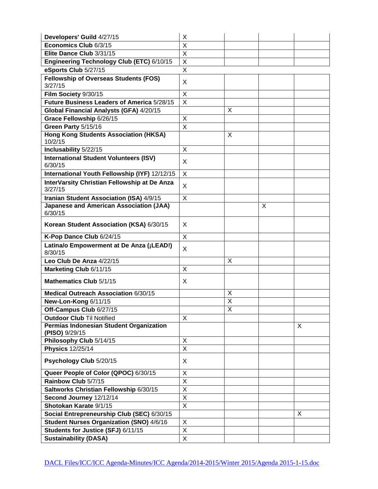| Developers' Guild 4/27/15                                 | X |                         |   |   |
|-----------------------------------------------------------|---|-------------------------|---|---|
| Economics Club 6/3/15                                     | X |                         |   |   |
| Elite Dance Club 3/31/15                                  | X |                         |   |   |
| Engineering Technology Club (ETC) 6/10/15                 | X |                         |   |   |
| eSports Club 5/27/15                                      | X |                         |   |   |
| <b>Fellowship of Overseas Students (FOS)</b><br>3/27/15   | X |                         |   |   |
| Film Society 9/30/15                                      | X |                         |   |   |
| Future Business Leaders of America 5/28/15                | X |                         |   |   |
| Global Financial Analysts (GFA) 4/20/15                   |   | X                       |   |   |
| Grace Fellowship 6/26/15                                  | X |                         |   |   |
| Green Party 5/15/16                                       | X |                         |   |   |
| <b>Hong Kong Students Association (HKSA)</b><br>10/2/15   |   | X                       |   |   |
| Inclusability 5/22/15                                     | X |                         |   |   |
| <b>International Student Volunteers (ISV)</b><br>6/30/15  | X |                         |   |   |
| International Youth Fellowship (IYF) 12/12/15             | X |                         |   |   |
| InterVarsity Christian Fellowship at De Anza<br>3/27/15   | X |                         |   |   |
| Iranian Student Association (ISA) 4/9/15                  | X |                         |   |   |
| <b>Japanese and American Association (JAA)</b><br>6/30/15 |   |                         | X |   |
| Korean Student Association (KSA) 6/30/15                  | X |                         |   |   |
| K-Pop Dance Club 6/24/15                                  | X |                         |   |   |
| Latina/o Empowerment at De Anza (¡LEAD!)<br>8/30/15       | X |                         |   |   |
| Leo Club De Anza 4/22/15                                  |   | X                       |   |   |
| Marketing Club 6/11/15                                    | X |                         |   |   |
| Mathematics Club 5/1/15                                   | X |                         |   |   |
| Medical Outreach Association 6/30/15                      |   | X                       |   |   |
| New-Lon-Kong 6/11/15                                      |   | X                       |   |   |
| Off-Campus Club 6/27/15                                   |   | $\overline{\mathsf{X}}$ |   |   |
| <b>Outdoor Club Til Notified</b>                          | X |                         |   |   |
| Permias Indonesian Student Organization<br>(PISO) 9/29/15 |   |                         |   | X |
| Philosophy Club 5/14/15                                   | Χ |                         |   |   |
| <b>Physics 12/25/14</b>                                   | X |                         |   |   |
| Psychology Club 5/20/15                                   | X |                         |   |   |
| Queer People of Color (QPOC) 6/30/15                      | Χ |                         |   |   |
| Rainbow Club 5/7/15                                       | X |                         |   |   |
| Saltworks Christian Fellowship 6/30/15                    | X |                         |   |   |
| Second Journey 12/12/14                                   | X |                         |   |   |
| Shotokan Karate 9/1/15                                    | X |                         |   |   |
| Social Entrepreneurship Club (SEC) 6/30/15                |   |                         |   | X |
| Student Nurses Organization (SNO) 4/6/16                  | X |                         |   |   |
| Students for Justice (SFJ) 6/11/15                        | X |                         |   |   |
| <b>Sustainability (DASA)</b>                              | X |                         |   |   |